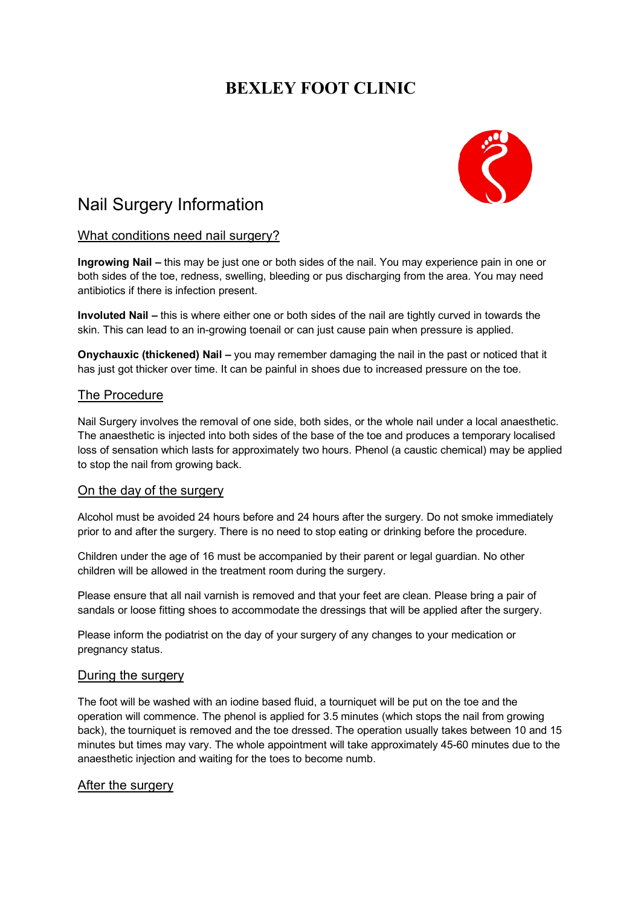# **BEXLEY FOOT CLINIC**



# Nail Surgery Information

## What conditions need nail surgery?

**Ingrowing Nail –** this may be just one or both sides of the nail. You may experience pain in one or both sides of the toe, redness, swelling, bleeding or pus discharging from the area. You may need antibiotics if there is infection present.

**Involuted Nail –** this is where either one or both sides of the nail are tightly curved in towards the skin. This can lead to an in-growing toenail or can just cause pain when pressure is applied.

**Onychauxic (thickened) Nail –** you may remember damaging the nail in the past or noticed that it has just got thicker over time. It can be painful in shoes due to increased pressure on the toe.

### The Procedure

Nail Surgery involves the removal of one side, both sides, or the whole nail under a local anaesthetic. The anaesthetic is injected into both sides of the base of the toe and produces a temporary localised loss of sensation which lasts for approximately two hours. Phenol (a caustic chemical) may be applied to stop the nail from growing back.

### On the day of the surgery

Alcohol must be avoided 24 hours before and 24 hours after the surgery. Do not smoke immediately prior to and after the surgery. There is no need to stop eating or drinking before the procedure.

Children under the age of 16 must be accompanied by their parent or legal guardian. No other children will be allowed in the treatment room during the surgery.

Please ensure that all nail varnish is removed and that your feet are clean. Please bring a pair of sandals or loose fitting shoes to accommodate the dressings that will be applied after the surgery.

Please inform the podiatrist on the day of your surgery of any changes to your medication or pregnancy status.

#### During the surgery

The foot will be washed with an iodine based fluid, a tourniquet will be put on the toe and the operation will commence. The phenol is applied for 3.5 minutes (which stops the nail from growing back), the tourniquet is removed and the toe dressed. The operation usually takes between 10 and 15 minutes but times may vary. The whole appointment will take approximately 45-60 minutes due to the anaesthetic injection and waiting for the toes to become numb.

#### After the surgery